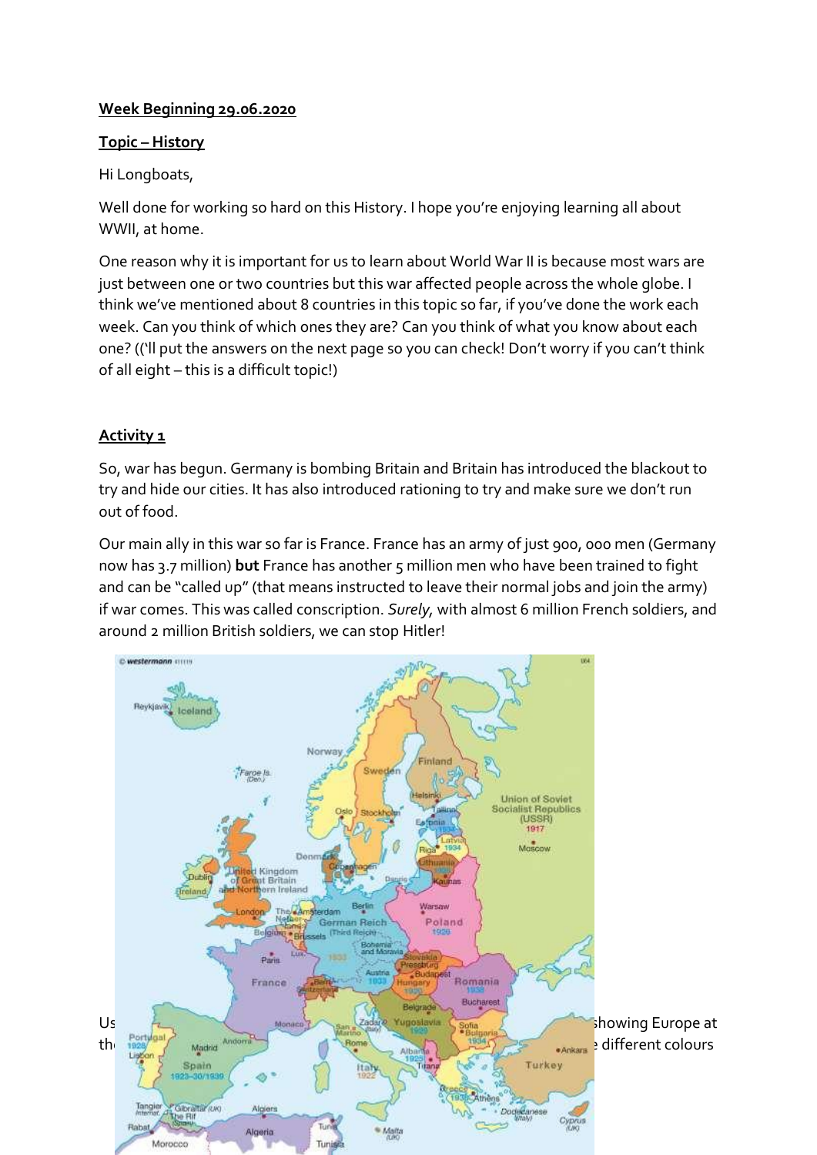## **Week Beginning 29.06.2020**

### **Topic – History**

Hi Longboats,

Well done for working so hard on this History. I hope you're enjoying learning all about WWII, at home.

One reason why it is important for us to learn about World War II is because most wars are just between one or two countries but this war affected people across the whole globe. I think we've mentioned about 8 countries in this topic so far, if you've done the work each week. Can you think of which ones they are? Can you think of what you know about each one? (('ll put the answers on the next page so you can check! Don't worry if you can't think of all eight – this is a difficult topic!)

# **Activity 1**

So, war has begun. Germany is bombing Britain and Britain has introduced the blackout to try and hide our cities. It has also introduced rationing to try and make sure we don't run out of food.

Our main ally in this war so far is France. France has an army of just 900, 000 men (Germany now has 3.7 million) **but** France has another 5 million men who have been trained to fight and can be "called up" (that means instructed to leave their normal jobs and join the army) if war comes. This was called conscription. *Surely,* with almost 6 million French soldiers, and around 2 million British soldiers, we can stop Hitler!

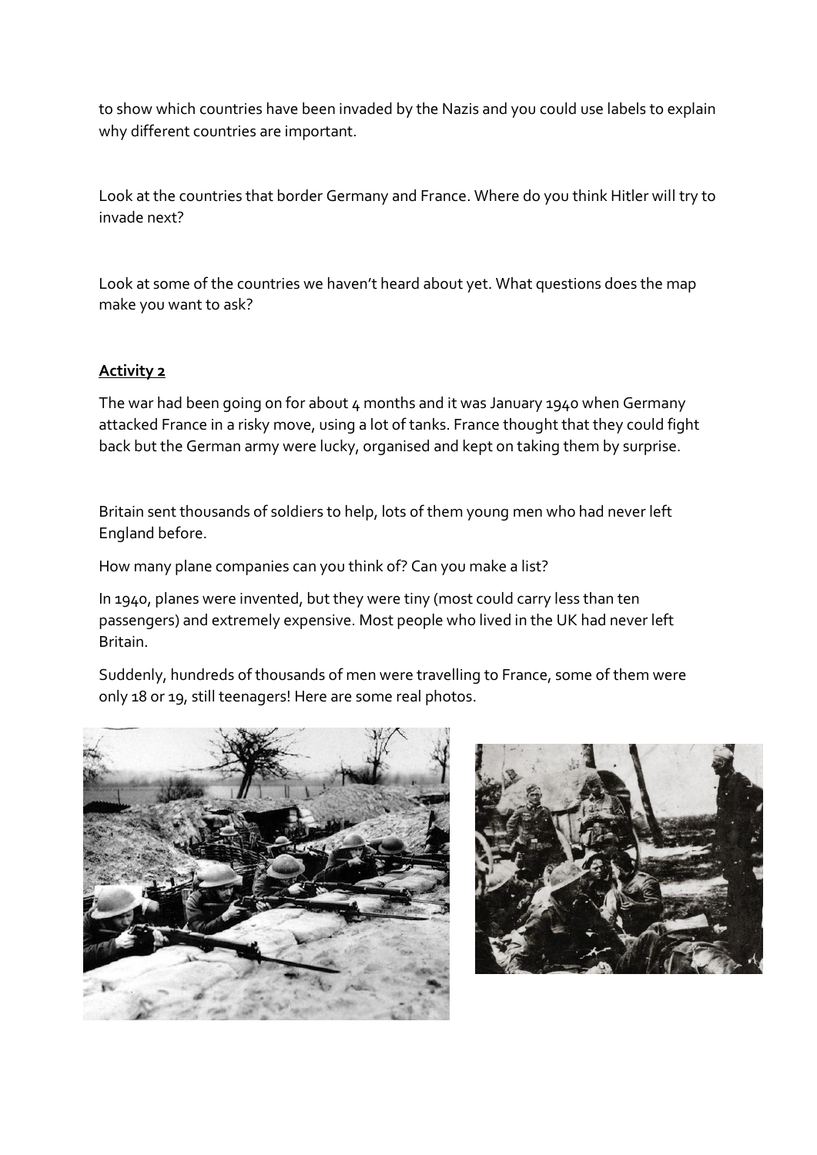to show which countries have been invaded by the Nazis and you could use labels to explain why different countries are important.

Look at the countries that border Germany and France. Where do you think Hitler will try to invade next?

Look at some of the countries we haven't heard about yet. What questions does the map make you want to ask?

#### **Activity 2**

The war had been going on for about 4 months and it was January 1940 when Germany attacked France in a risky move, using a lot of tanks. France thought that they could fight back but the German army were lucky, organised and kept on taking them by surprise.

Britain sent thousands of soldiers to help, lots of them young men who had never left England before.

How many plane companies can you think of? Can you make a list?

In 1940, planes were invented, but they were tiny (most could carry less than ten passengers) and extremely expensive. Most people who lived in the UK had never left Britain.

Suddenly, hundreds of thousands of men were travelling to France, some of them were only 18 or 19, still teenagers! Here are some real photos.



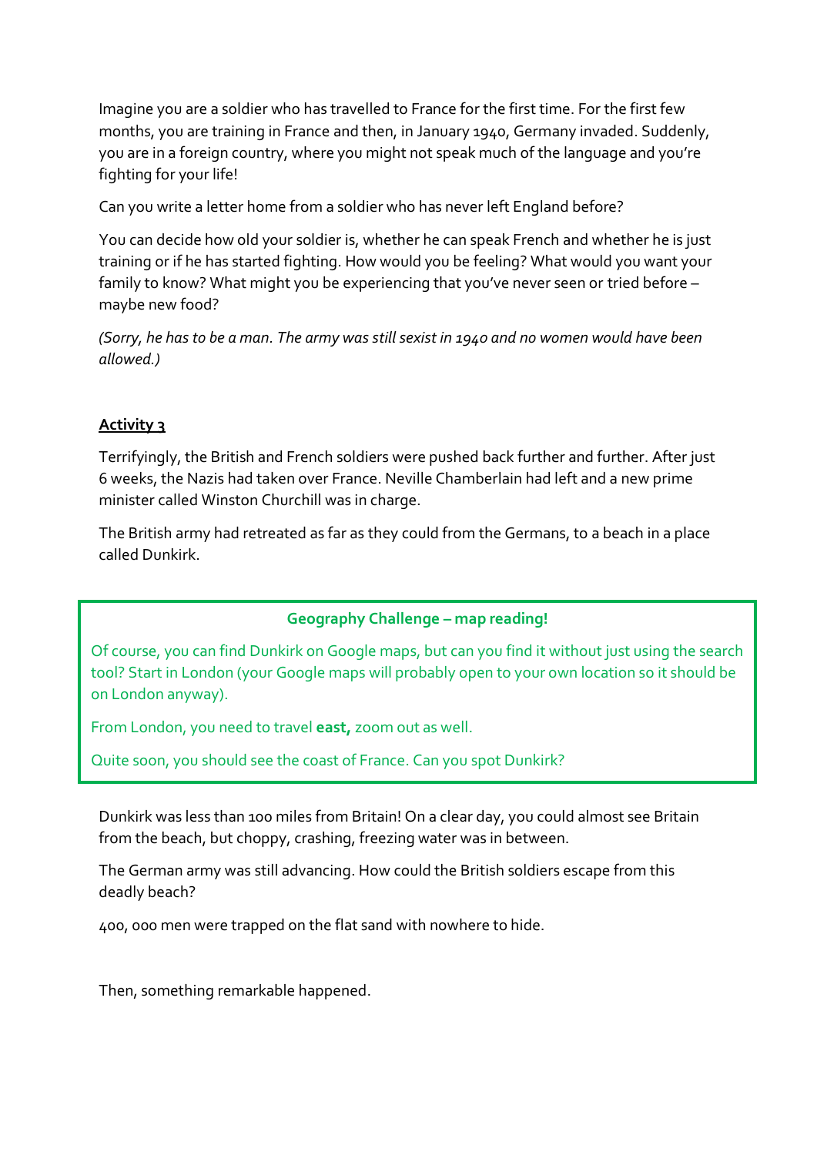Imagine you are a soldier who has travelled to France for the first time. For the first few months, you are training in France and then, in January 1940, Germany invaded. Suddenly, you are in a foreign country, where you might not speak much of the language and you're fighting for your life!

Can you write a letter home from a soldier who has never left England before?

You can decide how old your soldier is, whether he can speak French and whether he is just training or if he has started fighting. How would you be feeling? What would you want your family to know? What might you be experiencing that you've never seen or tried before – maybe new food?

*(Sorry, he has to be a man. The army was still sexist in 1940 and no women would have been allowed.)*

## **Activity 3**

Terrifyingly, the British and French soldiers were pushed back further and further. After just 6 weeks, the Nazis had taken over France. Neville Chamberlain had left and a new prime minister called Winston Churchill was in charge.

The British army had retreated as far as they could from the Germans, to a beach in a place called Dunkirk.

#### **Geography Challenge – map reading!**

Of course, you can find Dunkirk on Google maps, but can you find it without just using the search tool? Start in London (your Google maps will probably open to your own location so it should be on London anyway).

From London, you need to travel **east,** zoom out as well.

Quite soon, you should see the coast of France. Can you spot Dunkirk?

Dunkirk was less than 100 miles from Britain! On a clear day, you could almost see Britain from the beach, but choppy, crashing, freezing water was in between.

The German army was still advancing. How could the British soldiers escape from this deadly beach?

400, 000 men were trapped on the flat sand with nowhere to hide.

Then, something remarkable happened.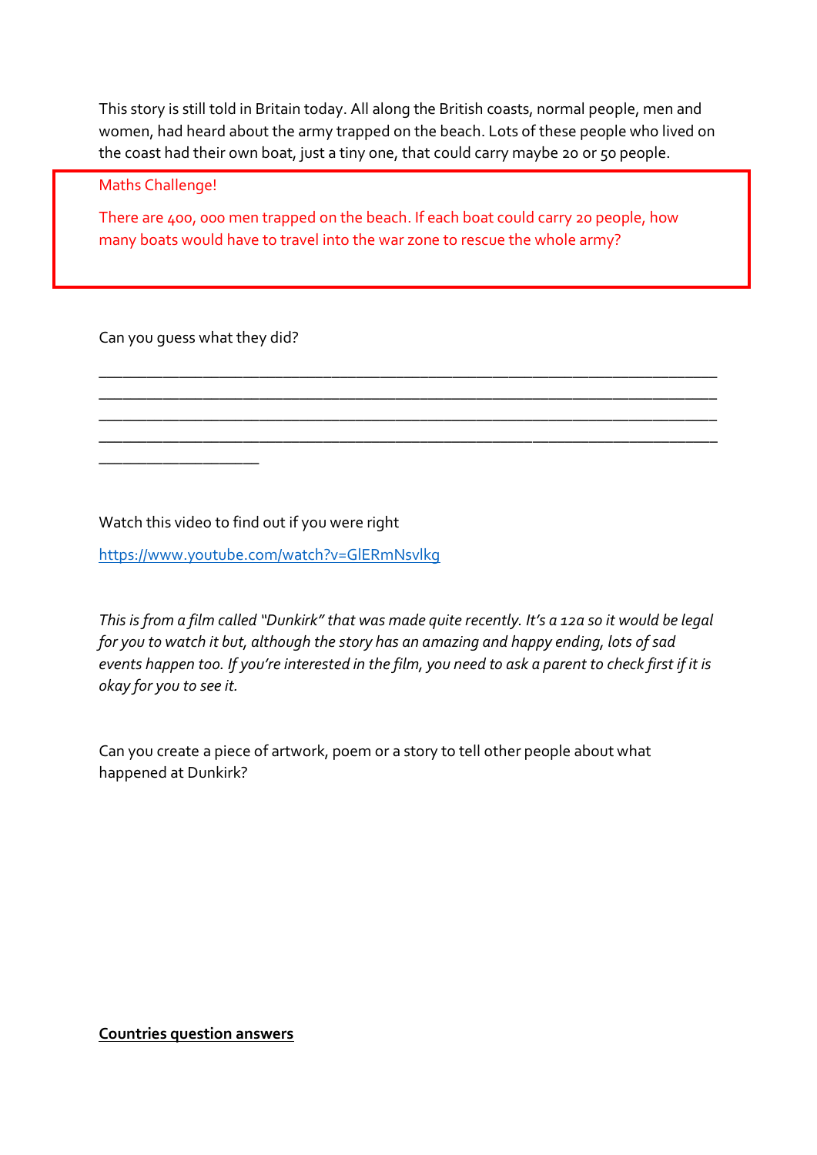This story is still told in Britain today. All along the British coasts, normal people, men and women, had heard about the army trapped on the beach. Lots of these people who lived on the coast had their own boat, just a tiny one, that could carry maybe 20 or 50 people.

Maths Challenge!

There are 400, 000 men trapped on the beach. If each boat could carry 20 people, how many boats would have to travel into the war zone to rescue the whole army?

\_\_\_\_\_\_\_\_\_\_\_\_\_\_\_\_\_\_\_\_\_\_\_\_\_\_\_\_\_\_\_\_\_\_\_\_\_\_\_\_\_\_\_\_\_\_\_\_\_\_\_\_\_\_\_\_\_\_\_\_\_\_\_\_\_\_\_\_\_\_\_\_\_\_\_\_\_ \_\_\_\_\_\_\_\_\_\_\_\_\_\_\_\_\_\_\_\_\_\_\_\_\_\_\_\_\_\_\_\_\_\_\_\_\_\_\_\_\_\_\_\_\_\_\_\_\_\_\_\_\_\_\_\_\_\_\_\_\_\_\_\_\_\_\_\_\_\_\_\_\_\_\_\_\_ \_\_\_\_\_\_\_\_\_\_\_\_\_\_\_\_\_\_\_\_\_\_\_\_\_\_\_\_\_\_\_\_\_\_\_\_\_\_\_\_\_\_\_\_\_\_\_\_\_\_\_\_\_\_\_\_\_\_\_\_\_\_\_\_\_\_\_\_\_\_\_\_\_\_\_\_\_ \_\_\_\_\_\_\_\_\_\_\_\_\_\_\_\_\_\_\_\_\_\_\_\_\_\_\_\_\_\_\_\_\_\_\_\_\_\_\_\_\_\_\_\_\_\_\_\_\_\_\_\_\_\_\_\_\_\_\_\_\_\_\_\_\_\_\_\_\_\_\_\_\_\_\_\_\_

Can you guess what they did?

\_\_\_\_\_\_\_\_\_\_\_\_\_\_\_\_\_\_\_\_

Watch this video to find out if you were right

<https://www.youtube.com/watch?v=GlERmNsvlkg>

*This is from a film called "Dunkirk" that was made quite recently. It's a 12a so it would be legal for you to watch it but, although the story has an amazing and happy ending, lots of sad events happen too. If you're interested in the film, you need to ask a parent to check first if it is okay for you to see it.* 

Can you create a piece of artwork, poem or a story to tell other people about what happened at Dunkirk?

**Countries question answers**